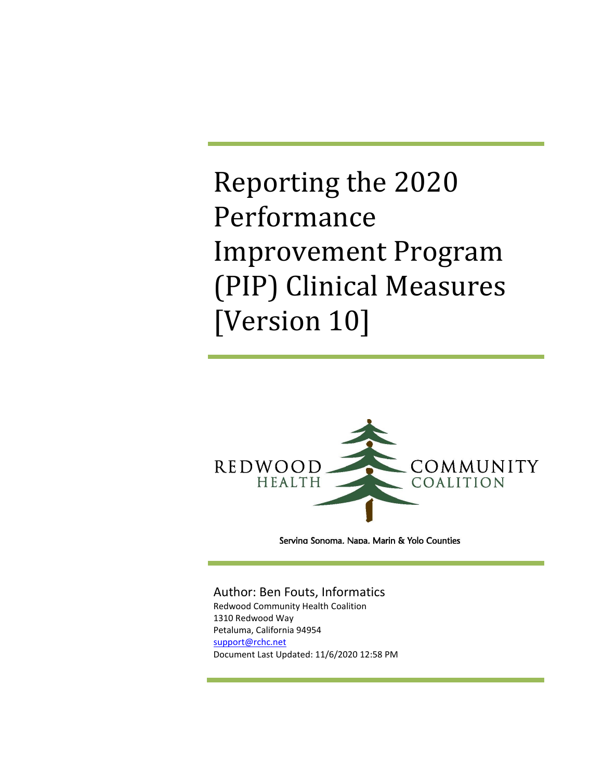Reporting the 2020 Performance Improvement Program (PIP) Clinical Measures [Version 10]



Servina Sonoma. Napa. Marin & Yolo Counties

#### Author: Ben Fouts, Informatics

Redwood Community Health Coalition 1310 Redwood Way Petaluma, California 94954 support@rchc.net Document Last Updated: 11/6/2020 12:58 PM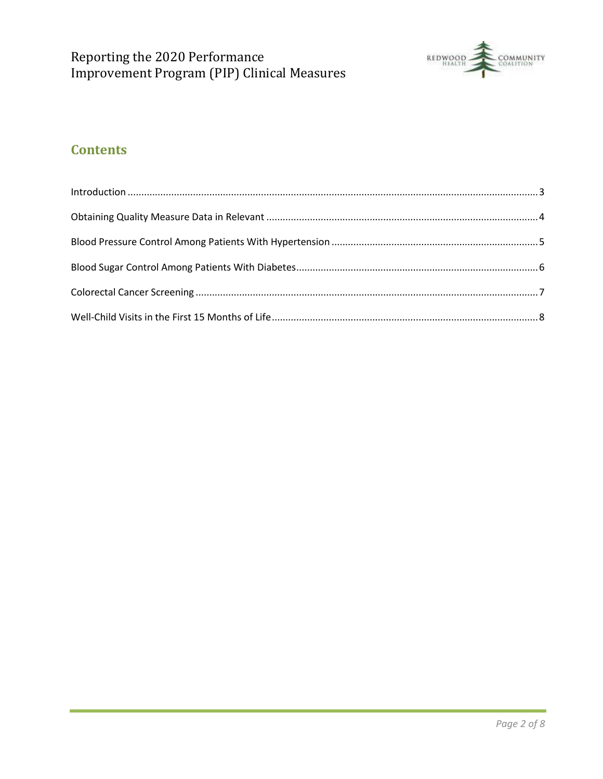

## **Contents**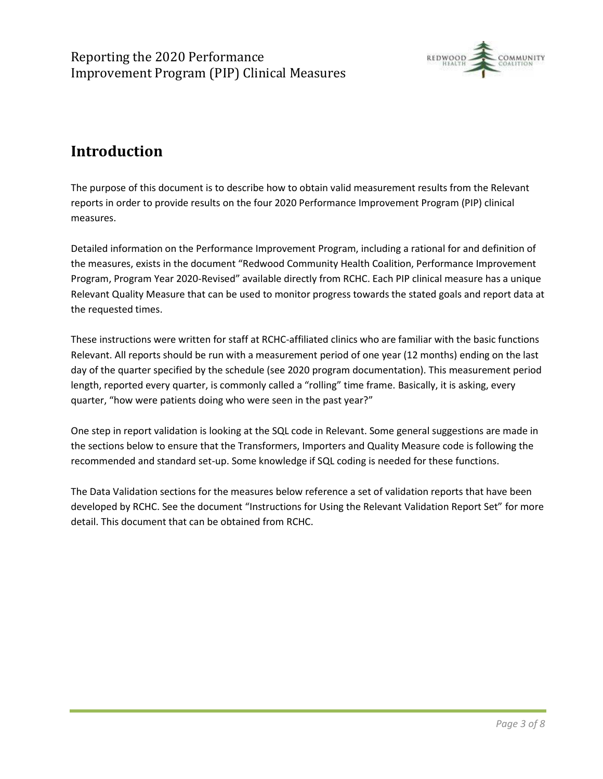

# **Introduction**

The purpose of this document is to describe how to obtain valid measurement results from the Relevant reports in order to provide results on the four 2020 Performance Improvement Program (PIP) clinical measures.

Detailed information on the Performance Improvement Program, including a rational for and definition of the measures, exists in the document "Redwood Community Health Coalition, Performance Improvement Program, Program Year 2020-Revised" available directly from RCHC. Each PIP clinical measure has a unique Relevant Quality Measure that can be used to monitor progress towards the stated goals and report data at the requested times.

These instructions were written for staff at RCHC-affiliated clinics who are familiar with the basic functions Relevant. All reports should be run with a measurement period of one year (12 months) ending on the last day of the quarter specified by the schedule (see 2020 program documentation). This measurement period length, reported every quarter, is commonly called a "rolling" time frame. Basically, it is asking, every quarter, "how were patients doing who were seen in the past year?"

One step in report validation is looking at the SQL code in Relevant. Some general suggestions are made in the sections below to ensure that the Transformers, Importers and Quality Measure code is following the recommended and standard set-up. Some knowledge if SQL coding is needed for these functions.

The Data Validation sections for the measures below reference a set of validation reports that have been developed by RCHC. See the document "Instructions for Using the Relevant Validation Report Set" for more detail. This document that can be obtained from RCHC.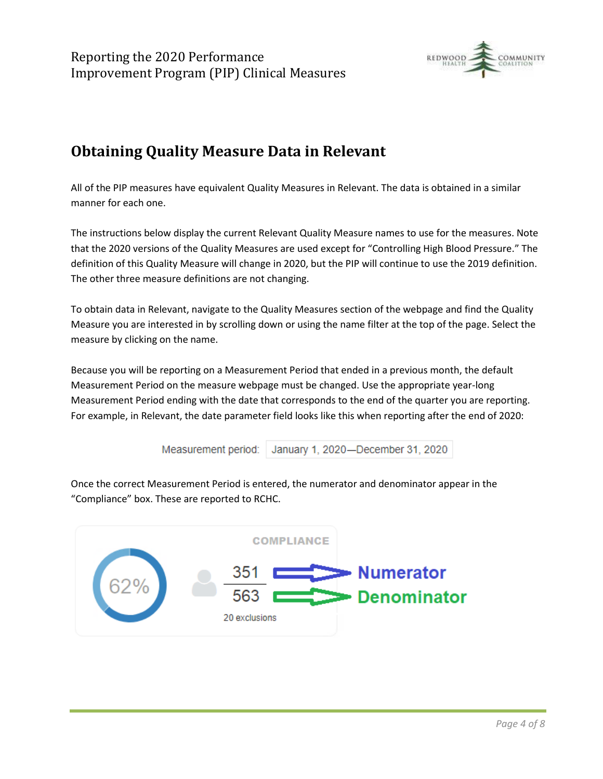

# **Obtaining Quality Measure Data in Relevant**

All of the PIP measures have equivalent Quality Measures in Relevant. The data is obtained in a similar manner for each one.

The instructions below display the current Relevant Quality Measure names to use for the measures. Note that the 2020 versions of the Quality Measures are used except for "Controlling High Blood Pressure." The definition of this Quality Measure will change in 2020, but the PIP will continue to use the 2019 definition. The other three measure definitions are not changing.

To obtain data in Relevant, navigate to the Quality Measures section of the webpage and find the Quality Measure you are interested in by scrolling down or using the name filter at the top of the page. Select the measure by clicking on the name.

Because you will be reporting on a Measurement Period that ended in a previous month, the default Measurement Period on the measure webpage must be changed. Use the appropriate year-long Measurement Period ending with the date that corresponds to the end of the quarter you are reporting. For example, in Relevant, the date parameter field looks like this when reporting after the end of 2020:



Once the correct Measurement Period is entered, the numerator and denominator appear in the "Compliance" box. These are reported to RCHC.

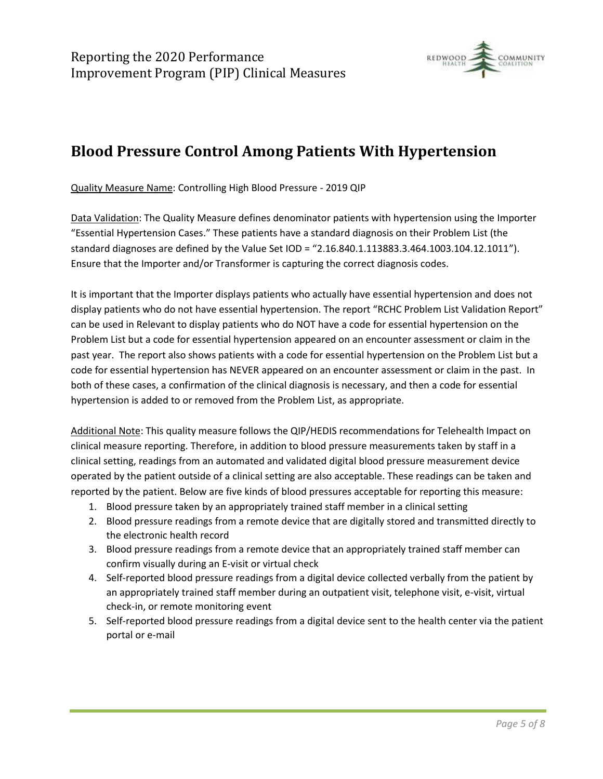

# **Blood Pressure Control Among Patients With Hypertension**

Quality Measure Name: Controlling High Blood Pressure - 2019 QIP

Data Validation: The Quality Measure defines denominator patients with hypertension using the Importer "Essential Hypertension Cases." These patients have a standard diagnosis on their Problem List (the standard diagnoses are defined by the Value Set IOD = "2.16.840.1.113883.3.464.1003.104.12.1011"). Ensure that the Importer and/or Transformer is capturing the correct diagnosis codes.

It is important that the Importer displays patients who actually have essential hypertension and does not display patients who do not have essential hypertension. The report "RCHC Problem List Validation Report" can be used in Relevant to display patients who do NOT have a code for essential hypertension on the Problem List but a code for essential hypertension appeared on an encounter assessment or claim in the past year. The report also shows patients with a code for essential hypertension on the Problem List but a code for essential hypertension has NEVER appeared on an encounter assessment or claim in the past. In both of these cases, a confirmation of the clinical diagnosis is necessary, and then a code for essential hypertension is added to or removed from the Problem List, as appropriate.

Additional Note: This quality measure follows the QIP/HEDIS recommendations for Telehealth Impact on clinical measure reporting. Therefore, in addition to blood pressure measurements taken by staff in a clinical setting, readings from an automated and validated digital blood pressure measurement device operated by the patient outside of a clinical setting are also acceptable. These readings can be taken and reported by the patient. Below are five kinds of blood pressures acceptable for reporting this measure:

- 1. Blood pressure taken by an appropriately trained staff member in a clinical setting
- 2. Blood pressure readings from a remote device that are digitally stored and transmitted directly to the electronic health record
- 3. Blood pressure readings from a remote device that an appropriately trained staff member can confirm visually during an E-visit or virtual check
- 4. Self-reported blood pressure readings from a digital device collected verbally from the patient by an appropriately trained staff member during an outpatient visit, telephone visit, e-visit, virtual check-in, or remote monitoring event
- 5. Self-reported blood pressure readings from a digital device sent to the health center via the patient portal or e-mail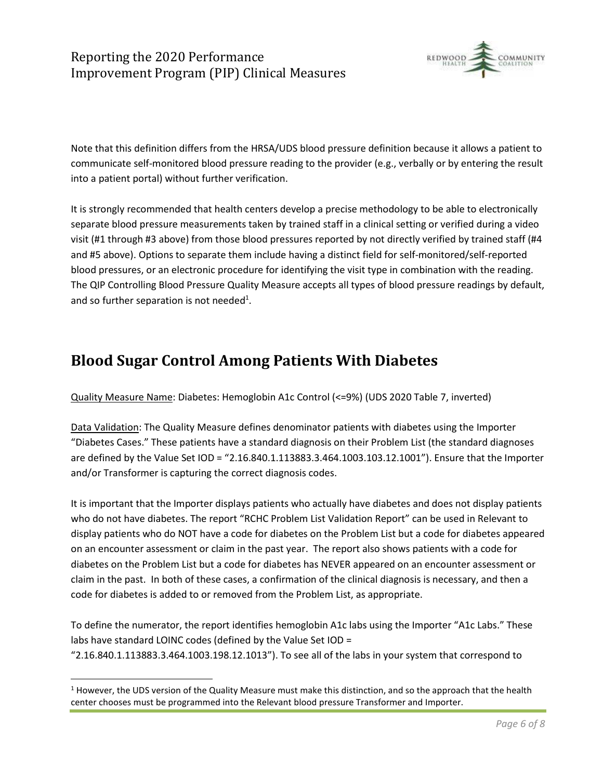## Reporting the 2020 Performance Improvement Program (PIP) Clinical Measures



Note that this definition differs from the HRSA/UDS blood pressure definition because it allows a patient to communicate self-monitored blood pressure reading to the provider (e.g., verbally or by entering the result into a patient portal) without further verification.

It is strongly recommended that health centers develop a precise methodology to be able to electronically separate blood pressure measurements taken by trained staff in a clinical setting or verified during a video visit (#1 through #3 above) from those blood pressures reported by not directly verified by trained staff (#4 and #5 above). Options to separate them include having a distinct field for self-monitored/self-reported blood pressures, or an electronic procedure for identifying the visit type in combination with the reading. The QIP Controlling Blood Pressure Quality Measure accepts all types of blood pressure readings by default, and so further separation is not needed<sup>1</sup>.

## **Blood Sugar Control Among Patients With Diabetes**

Quality Measure Name: Diabetes: Hemoglobin A1c Control (<=9%) (UDS 2020 Table 7, inverted)

Data Validation: The Quality Measure defines denominator patients with diabetes using the Importer "Diabetes Cases." These patients have a standard diagnosis on their Problem List (the standard diagnoses are defined by the Value Set IOD = "2.16.840.1.113883.3.464.1003.103.12.1001"). Ensure that the Importer and/or Transformer is capturing the correct diagnosis codes.

It is important that the Importer displays patients who actually have diabetes and does not display patients who do not have diabetes. The report "RCHC Problem List Validation Report" can be used in Relevant to display patients who do NOT have a code for diabetes on the Problem List but a code for diabetes appeared on an encounter assessment or claim in the past year. The report also shows patients with a code for diabetes on the Problem List but a code for diabetes has NEVER appeared on an encounter assessment or claim in the past. In both of these cases, a confirmation of the clinical diagnosis is necessary, and then a code for diabetes is added to or removed from the Problem List, as appropriate.

To define the numerator, the report identifies hemoglobin A1c labs using the Importer "A1c Labs." These labs have standard LOINC codes (defined by the Value Set IOD = "2.16.840.1.113883.3.464.1003.198.12.1013"). To see all of the labs in your system that correspond to

 $1$  However, the UDS version of the Quality Measure must make this distinction, and so the approach that the health center chooses must be programmed into the Relevant blood pressure Transformer and Importer.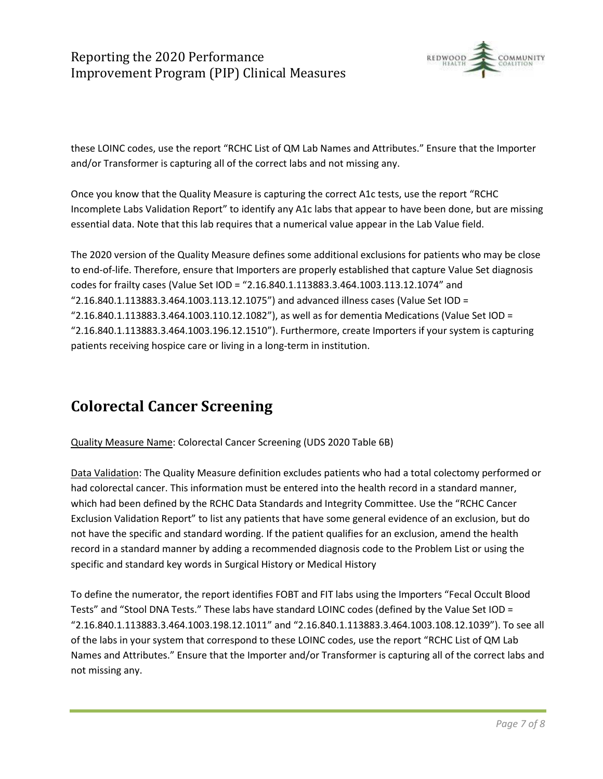## Reporting the 2020 Performance Improvement Program (PIP) Clinical Measures



these LOINC codes, use the report "RCHC List of QM Lab Names and Attributes." Ensure that the Importer and/or Transformer is capturing all of the correct labs and not missing any.

Once you know that the Quality Measure is capturing the correct A1c tests, use the report "RCHC Incomplete Labs Validation Report" to identify any A1c labs that appear to have been done, but are missing essential data. Note that this lab requires that a numerical value appear in the Lab Value field.

The 2020 version of the Quality Measure defines some additional exclusions for patients who may be close to end-of-life. Therefore, ensure that Importers are properly established that capture Value Set diagnosis codes for frailty cases (Value Set IOD = "2.16.840.1.113883.3.464.1003.113.12.1074" and "2.16.840.1.113883.3.464.1003.113.12.1075") and advanced illness cases (Value Set IOD = "2.16.840.1.113883.3.464.1003.110.12.1082"), as well as for dementia Medications (Value Set IOD = "2.16.840.1.113883.3.464.1003.196.12.1510"). Furthermore, create Importers if your system is capturing patients receiving hospice care or living in a long-term in institution.

# **Colorectal Cancer Screening**

#### Quality Measure Name: Colorectal Cancer Screening (UDS 2020 Table 6B)

Data Validation: The Quality Measure definition excludes patients who had a total colectomy performed or had colorectal cancer. This information must be entered into the health record in a standard manner, which had been defined by the RCHC Data Standards and Integrity Committee. Use the "RCHC Cancer Exclusion Validation Report" to list any patients that have some general evidence of an exclusion, but do not have the specific and standard wording. If the patient qualifies for an exclusion, amend the health record in a standard manner by adding a recommended diagnosis code to the Problem List or using the specific and standard key words in Surgical History or Medical History

To define the numerator, the report identifies FOBT and FIT labs using the Importers "Fecal Occult Blood Tests" and "Stool DNA Tests." These labs have standard LOINC codes (defined by the Value Set IOD = "2.16.840.1.113883.3.464.1003.198.12.1011" and "2.16.840.1.113883.3.464.1003.108.12.1039"). To see all of the labs in your system that correspond to these LOINC codes, use the report "RCHC List of QM Lab Names and Attributes." Ensure that the Importer and/or Transformer is capturing all of the correct labs and not missing any.